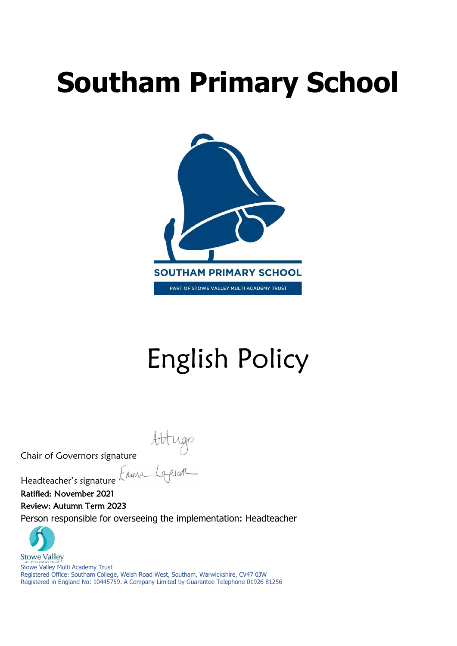# **Southam Primary School**



# English Policy

Attugo<br>Chair of Governors signature<br>Headteacher's signature Eliminal Laplan

Headteacher's signature

Ratified: November 2021

Review: Autumn Term 2023

Person responsible for overseeing the implementation: Headteacher



Stowe Valley Multi Academy Trust Registered Office: Southam College, Welsh Road West, Southam, Warwickshire, CV47 0JW Registered in England No: 10445759. A Company Limited by Guarantee Telephone 01926 81256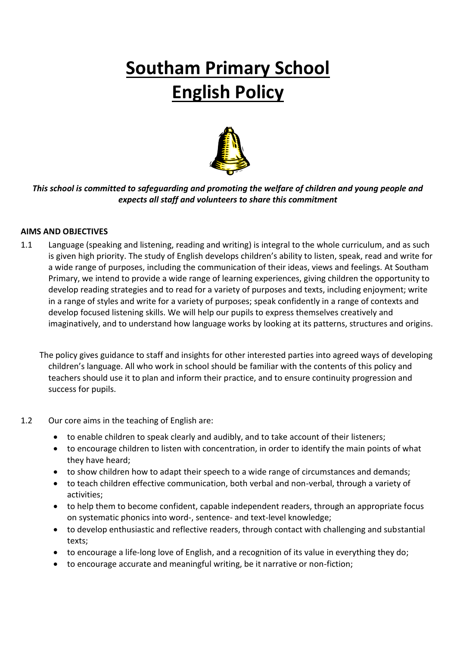# **Southam Primary School English Policy**



*This school is committed to safeguarding and promoting the welfare of children and young people and expects all staff and volunteers to share this commitment*

# **AIMS AND OBJECTIVES**

1.1 Language (speaking and listening, reading and writing) is integral to the whole curriculum, and as such is given high priority. The study of English develops children's ability to listen, speak, read and write for a wide range of purposes, including the communication of their ideas, views and feelings. At Southam Primary, we intend to provide a wide range of learning experiences, giving children the opportunity to develop reading strategies and to read for a variety of purposes and texts, including enjoyment; write in a range of styles and write for a variety of purposes; speak confidently in a range of contexts and develop focused listening skills. We will help our pupils to express themselves creatively and imaginatively, and to understand how language works by looking at its patterns, structures and origins.

 The policy gives guidance to staff and insights for other interested parties into agreed ways of developing children's language. All who work in school should be familiar with the contents of this policy and teachers should use it to plan and inform their practice, and to ensure continuity progression and success for pupils.

# 1.2 Our core aims in the teaching of English are:

- to enable children to speak clearly and audibly, and to take account of their listeners;
- to encourage children to listen with concentration, in order to identify the main points of what they have heard;
- to show children how to adapt their speech to a wide range of circumstances and demands;
- to teach children effective communication, both verbal and non-verbal, through a variety of activities;
- to help them to become confident, capable independent readers, through an appropriate focus on systematic phonics into word-, sentence- and text-level knowledge;
- to develop enthusiastic and reflective readers, through contact with challenging and substantial texts;
- to encourage a life-long love of English, and a recognition of its value in everything they do;
- to encourage accurate and meaningful writing, be it narrative or non-fiction;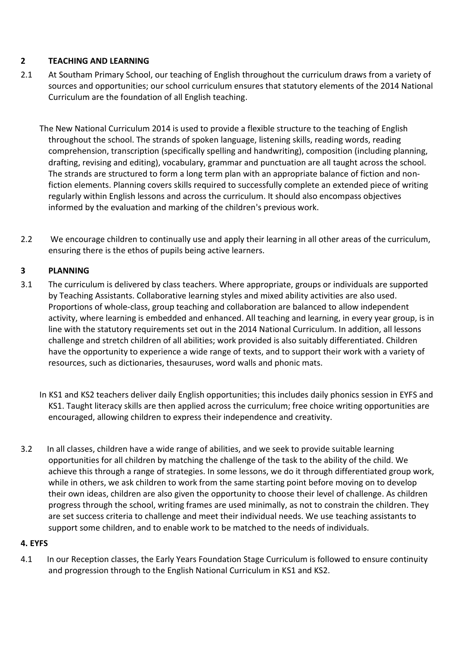# **2 TEACHING AND LEARNING**

- 2.1 At Southam Primary School, our teaching of English throughout the curriculum draws from a variety of sources and opportunities; our school curriculum ensures that statutory elements of the 2014 National Curriculum are the foundation of all English teaching.
	- The New National Curriculum 2014 is used to provide a flexible structure to the teaching of English throughout the school. The strands of spoken language, listening skills, reading words, reading comprehension, transcription (specifically spelling and handwriting), composition (including planning, drafting, revising and editing), vocabulary, grammar and punctuation are all taught across the school. The strands are structured to form a long term plan with an appropriate balance of fiction and nonfiction elements. Planning covers skills required to successfully complete an extended piece of writing regularly within English lessons and across the curriculum. It should also encompass objectives informed by the evaluation and marking of the children's previous work.
- 2.2 We encourage children to continually use and apply their learning in all other areas of the curriculum, ensuring there is the ethos of pupils being active learners.

# **3 PLANNING**

- 3.1 The curriculum is delivered by class teachers. Where appropriate, groups or individuals are supported by Teaching Assistants. Collaborative learning styles and mixed ability activities are also used. Proportions of whole-class, group teaching and collaboration are balanced to allow independent activity, where learning is embedded and enhanced. All teaching and learning, in every year group, is in line with the statutory requirements set out in the 2014 National Curriculum. In addition, all lessons challenge and stretch children of all abilities; work provided is also suitably differentiated. Children have the opportunity to experience a wide range of texts, and to support their work with a variety of resources, such as dictionaries, thesauruses, word walls and phonic mats.
	- In KS1 and KS2 teachers deliver daily English opportunities; this includes daily phonics session in EYFS and KS1. Taught literacy skills are then applied across the curriculum; free choice writing opportunities are encouraged, allowing children to express their independence and creativity.
- 3.2 In all classes, children have a wide range of abilities, and we seek to provide suitable learning opportunities for all children by matching the challenge of the task to the ability of the child. We achieve this through a range of strategies. In some lessons, we do it through differentiated group work, while in others, we ask children to work from the same starting point before moving on to develop their own ideas, children are also given the opportunity to choose their level of challenge. As children progress through the school, writing frames are used minimally, as not to constrain the children. They are set success criteria to challenge and meet their individual needs. We use teaching assistants to support some children, and to enable work to be matched to the needs of individuals.

# **4. EYFS**

4.1 In our Reception classes, the Early Years Foundation Stage Curriculum is followed to ensure continuity and progression through to the English National Curriculum in KS1 and KS2.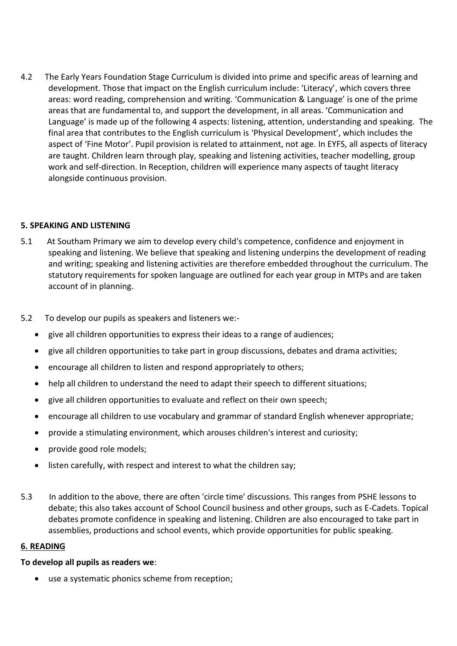4.2 The Early Years Foundation Stage Curriculum is divided into prime and specific areas of learning and development. Those that impact on the English curriculum include: 'Literacy', which covers three areas: word reading, comprehension and writing. 'Communication & Language' is one of the prime areas that are fundamental to, and support the development, in all areas. 'Communication and Language' is made up of the following 4 aspects: listening, attention, understanding and speaking. The final area that contributes to the English curriculum is 'Physical Development', which includes the aspect of 'Fine Motor'. Pupil provision is related to attainment, not age. In EYFS, all aspects of literacy are taught. Children learn through play, speaking and listening activities, teacher modelling, group work and self-direction. In Reception, children will experience many aspects of taught literacy alongside continuous provision.

# **5. SPEAKING AND LISTENING**

- 5.1 At Southam Primary we aim to develop every child's competence, confidence and enjoyment in speaking and listening. We believe that speaking and listening underpins the development of reading and writing; speaking and listening activities are therefore embedded throughout the curriculum. The statutory requirements for spoken language are outlined for each year group in MTPs and are taken account of in planning.
- 5.2 To develop our pupils as speakers and listeners we:-
	- give all children opportunities to express their ideas to a range of audiences;
	- give all children opportunities to take part in group discussions, debates and drama activities;
	- encourage all children to listen and respond appropriately to others;
	- help all children to understand the need to adapt their speech to different situations;
	- give all children opportunities to evaluate and reflect on their own speech;
	- encourage all children to use vocabulary and grammar of standard English whenever appropriate;
	- provide a stimulating environment, which arouses children's interest and curiosity;
	- provide good role models;
	- listen carefully, with respect and interest to what the children say;
- 5.3 In addition to the above, there are often 'circle time' discussions. This ranges from PSHE lessons to debate; this also takes account of School Council business and other groups, such as E-Cadets. Topical debates promote confidence in speaking and listening. Children are also encouraged to take part in assemblies, productions and school events, which provide opportunities for public speaking.

#### **6. READING**

# **To develop all pupils as readers we**:

• use a systematic phonics scheme from reception;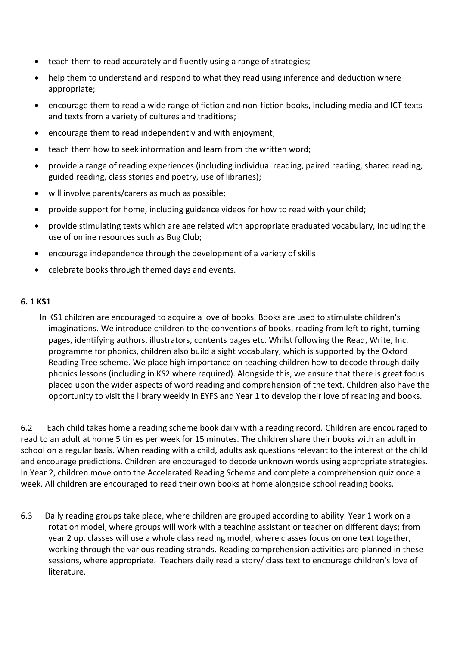- teach them to read accurately and fluently using a range of strategies;
- help them to understand and respond to what they read using inference and deduction where appropriate;
- encourage them to read a wide range of fiction and non-fiction books, including media and ICT texts and texts from a variety of cultures and traditions;
- encourage them to read independently and with enjoyment;
- teach them how to seek information and learn from the written word;
- provide a range of reading experiences (including individual reading, paired reading, shared reading, guided reading, class stories and poetry, use of libraries);
- will involve parents/carers as much as possible;
- provide support for home, including guidance videos for how to read with your child;
- provide stimulating texts which are age related with appropriate graduated vocabulary, including the use of online resources such as Bug Club;
- encourage independence through the development of a variety of skills
- celebrate books through themed days and events.

#### **6. 1 KS1**

 In KS1 children are encouraged to acquire a love of books. Books are used to stimulate children's imaginations. We introduce children to the conventions of books, reading from left to right, turning pages, identifying authors, illustrators, contents pages etc. Whilst following the Read, Write, Inc. programme for phonics, children also build a sight vocabulary, which is supported by the Oxford Reading Tree scheme. We place high importance on teaching children how to decode through daily phonics lessons (including in KS2 where required). Alongside this, we ensure that there is great focus placed upon the wider aspects of word reading and comprehension of the text. Children also have the opportunity to visit the library weekly in EYFS and Year 1 to develop their love of reading and books.

6.2 Each child takes home a reading scheme book daily with a reading record. Children are encouraged to read to an adult at home 5 times per week for 15 minutes. The children share their books with an adult in school on a regular basis. When reading with a child, adults ask questions relevant to the interest of the child and encourage predictions. Children are encouraged to decode unknown words using appropriate strategies. In Year 2, children move onto the Accelerated Reading Scheme and complete a comprehension quiz once a week. All children are encouraged to read their own books at home alongside school reading books.

6.3 Daily reading groups take place, where children are grouped according to ability. Year 1 work on a rotation model, where groups will work with a teaching assistant or teacher on different days; from year 2 up, classes will use a whole class reading model, where classes focus on one text together, working through the various reading strands. Reading comprehension activities are planned in these sessions, where appropriate. Teachers daily read a story/ class text to encourage children's love of literature.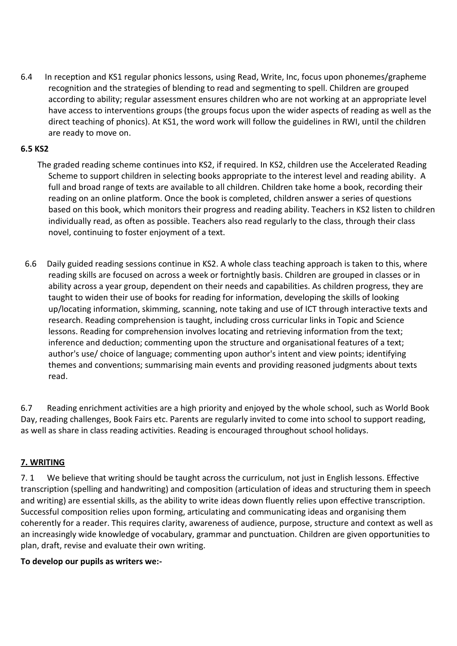6.4 In reception and KS1 regular phonics lessons, using Read, Write, Inc, focus upon phonemes/grapheme recognition and the strategies of blending to read and segmenting to spell. Children are grouped according to ability; regular assessment ensures children who are not working at an appropriate level have access to interventions groups (the groups focus upon the wider aspects of reading as well as the direct teaching of phonics). At KS1, the word work will follow the guidelines in RWI, until the children are ready to move on.

# **6.5 KS2**

- The graded reading scheme continues into KS2, if required. In KS2, children use the Accelerated Reading Scheme to support children in selecting books appropriate to the interest level and reading ability. A full and broad range of texts are available to all children. Children take home a book, recording their reading on an online platform. Once the book is completed, children answer a series of questions based on this book, which monitors their progress and reading ability. Teachers in KS2 listen to children individually read, as often as possible. Teachers also read regularly to the class, through their class novel, continuing to foster enjoyment of a text.
- 6.6 Daily guided reading sessions continue in KS2. A whole class teaching approach is taken to this, where reading skills are focused on across a week or fortnightly basis. Children are grouped in classes or in ability across a year group, dependent on their needs and capabilities. As children progress, they are taught to widen their use of books for reading for information, developing the skills of looking up/locating information, skimming, scanning, note taking and use of ICT through interactive texts and research. Reading comprehension is taught, including cross curricular links in Topic and Science lessons. Reading for comprehension involves locating and retrieving information from the text; inference and deduction; commenting upon the structure and organisational features of a text; author's use/ choice of language; commenting upon author's intent and view points; identifying themes and conventions; summarising main events and providing reasoned judgments about texts read.

6.7 Reading enrichment activities are a high priority and enjoyed by the whole school, such as World Book Day, reading challenges, Book Fairs etc. Parents are regularly invited to come into school to support reading, as well as share in class reading activities. Reading is encouraged throughout school holidays.

# **7. WRITING**

7. 1 We believe that writing should be taught across the curriculum, not just in English lessons. Effective transcription (spelling and handwriting) and composition (articulation of ideas and structuring them in speech and writing) are essential skills, as the ability to write ideas down fluently relies upon effective transcription. Successful composition relies upon forming, articulating and communicating ideas and organising them coherently for a reader. This requires clarity, awareness of audience, purpose, structure and context as well as an increasingly wide knowledge of vocabulary, grammar and punctuation. Children are given opportunities to plan, draft, revise and evaluate their own writing.

# **To develop our pupils as writers we:-**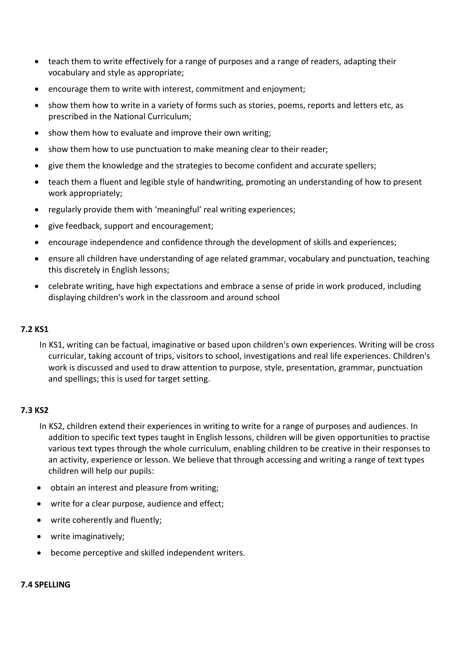- teach them to write effectively for a range of purposes and a range of readers, adapting their vocabulary and style as appropriate;
- encourage them to write with interest, commitment and enjoyment;
- show them how to write in a variety of forms such as stories, poems, reports and letters etc, as prescribed in the National Curriculum;
- show them how to evaluate and improve their own writing:
- show them how to use punctuation to make meaning clear to their reader;
- give them the knowledge and the strategies to become confident and accurate spellers;
- teach them a fluent and legible style of handwriting, promoting an understanding of how to present work appropriately;
- regularly provide them with 'meaningful' real writing experiences;
- give feedback, support and encouragement;
- encourage independence and confidence through the development of skills and experiences;
- ensure all children have understanding of age related grammar, vocabulary and punctuation, teaching this discretely in English lessons;
- celebrate writing, have high expectations and embrace a sense of pride in work produced, including displaying children's work in the classroom and around school

#### **7.2 KS1**

In KS1, writing can be factual, imaginative or based upon children's own experiences. Writing will be cross curricular, taking account of trips, visitors to school, investigations and real life experiences. Children's work is discussed and used to draw attention to purpose, style, presentation, grammar, punctuation and spellings; this is used for target setting.

#### **7.3 KS2**

- In KS2, children extend their experiences in writing to write for a range of purposes and audiences. In addition to specific text types taught in English lessons, children will be given opportunities to practise various text types through the whole curriculum, enabling children to be creative in their responses to an activity, experience or lesson. We believe that through accessing and writing a range of text types children will help our pupils:
- obtain an interest and pleasure from writing;
- write for a clear purpose, audience and effect;
- write coherently and fluently;
- write imaginatively;
- become perceptive and skilled independent writers.

#### **7.4 SPELLING**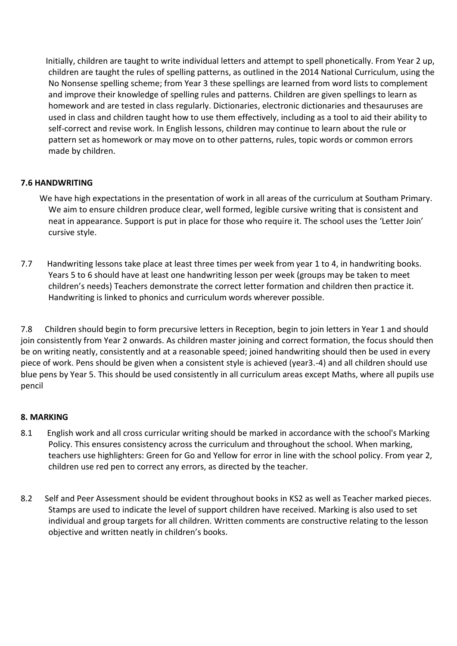Initially, children are taught to write individual letters and attempt to spell phonetically. From Year 2 up, children are taught the rules of spelling patterns, as outlined in the 2014 National Curriculum, using the No Nonsense spelling scheme; from Year 3 these spellings are learned from word lists to complement and improve their knowledge of spelling rules and patterns. Children are given spellings to learn as homework and are tested in class regularly. Dictionaries, electronic dictionaries and thesauruses are used in class and children taught how to use them effectively, including as a tool to aid their ability to self-correct and revise work. In English lessons, children may continue to learn about the rule or pattern set as homework or may move on to other patterns, rules, topic words or common errors made by children.

# **7.6 HANDWRITING**

- We have high expectations in the presentation of work in all areas of the curriculum at Southam Primary. We aim to ensure children produce clear, well formed, legible cursive writing that is consistent and neat in appearance. Support is put in place for those who require it. The school uses the 'Letter Join' cursive style.
- 7.7 Handwriting lessons take place at least three times per week from year 1 to 4, in handwriting books. Years 5 to 6 should have at least one handwriting lesson per week (groups may be taken to meet children's needs) Teachers demonstrate the correct letter formation and children then practice it. Handwriting is linked to phonics and curriculum words wherever possible.

7.8 Children should begin to form precursive letters in Reception, begin to join letters in Year 1 and should join consistently from Year 2 onwards. As children master joining and correct formation, the focus should then be on writing neatly, consistently and at a reasonable speed; joined handwriting should then be used in every piece of work. Pens should be given when a consistent style is achieved (year3.-4) and all children should use blue pens by Year 5. This should be used consistently in all curriculum areas except Maths, where all pupils use pencil

# **8. MARKING**

- 8.1 English work and all cross curricular writing should be marked in accordance with the school's Marking Policy. This ensures consistency across the curriculum and throughout the school. When marking, teachers use highlighters: Green for Go and Yellow for error in line with the school policy. From year 2, children use red pen to correct any errors, as directed by the teacher.
- 8.2 Self and Peer Assessment should be evident throughout books in KS2 as well as Teacher marked pieces. Stamps are used to indicate the level of support children have received. Marking is also used to set individual and group targets for all children. Written comments are constructive relating to the lesson objective and written neatly in children's books.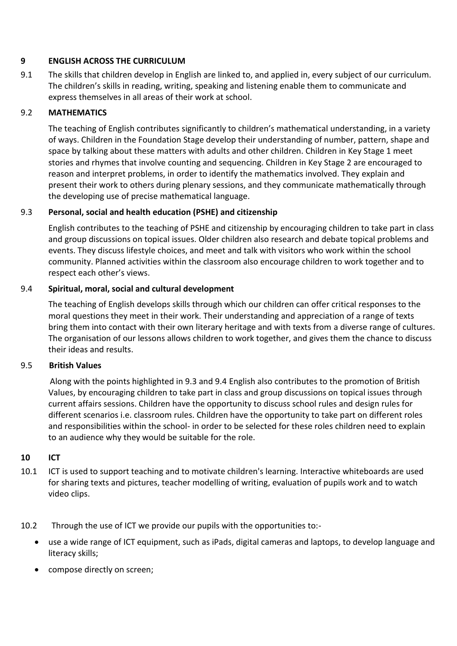# **9 ENGLISH ACROSS THE CURRICULUM**

9.1 The skills that children develop in English are linked to, and applied in, every subject of our curriculum. The children's skills in reading, writing, speaking and listening enable them to communicate and express themselves in all areas of their work at school.

# 9.2 **MATHEMATICS**

The teaching of English contributes significantly to children's mathematical understanding, in a variety of ways. Children in the Foundation Stage develop their understanding of number, pattern, shape and space by talking about these matters with adults and other children. Children in Key Stage 1 meet stories and rhymes that involve counting and sequencing. Children in Key Stage 2 are encouraged to reason and interpret problems, in order to identify the mathematics involved. They explain and present their work to others during plenary sessions, and they communicate mathematically through the developing use of precise mathematical language.

# 9.3 **Personal, social and health education (PSHE) and citizenship**

English contributes to the teaching of PSHE and citizenship by encouraging children to take part in class and group discussions on topical issues. Older children also research and debate topical problems and events. They discuss lifestyle choices, and meet and talk with visitors who work within the school community. Planned activities within the classroom also encourage children to work together and to respect each other's views.

# 9.4 **Spiritual, moral, social and cultural development**

The teaching of English develops skills through which our children can offer critical responses to the moral questions they meet in their work. Their understanding and appreciation of a range of texts bring them into contact with their own literary heritage and with texts from a diverse range of cultures. The organisation of our lessons allows children to work together, and gives them the chance to discuss their ideas and results.

# 9.5 **British Values**

 Along with the points highlighted in 9.3 and 9.4 English also contributes to the promotion of British Values, by encouraging children to take part in class and group discussions on topical issues through current affairs sessions. Children have the opportunity to discuss school rules and design rules for different scenarios i.e. classroom rules. Children have the opportunity to take part on different roles and responsibilities within the school- in order to be selected for these roles children need to explain to an audience why they would be suitable for the role.

# **10 ICT**

- 10.1 ICT is used to support teaching and to motivate children's learning. Interactive whiteboards are used for sharing texts and pictures, teacher modelling of writing, evaluation of pupils work and to watch video clips.
- 10.2 Through the use of ICT we provide our pupils with the opportunities to:-
	- use a wide range of ICT equipment, such as iPads, digital cameras and laptops, to develop language and literacy skills;
	- compose directly on screen;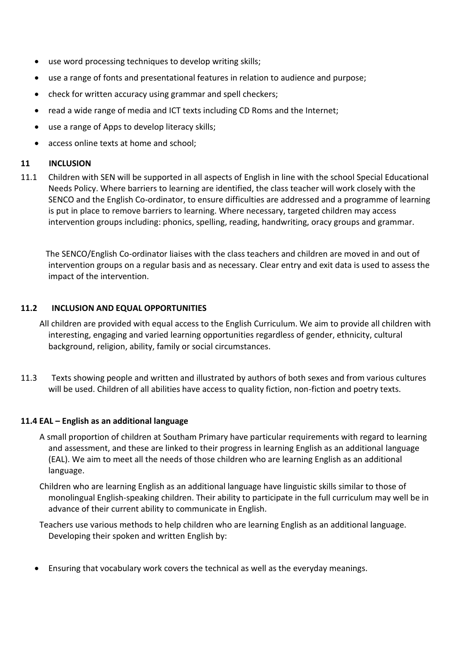- use word processing techniques to develop writing skills;
- use a range of fonts and presentational features in relation to audience and purpose;
- check for written accuracy using grammar and spell checkers;
- read a wide range of media and ICT texts including CD Roms and the Internet;
- use a range of Apps to develop literacy skills;
- access online texts at home and school;

#### **11 INCLUSION**

11.1 Children with SEN will be supported in all aspects of English in line with the school Special Educational Needs Policy. Where barriers to learning are identified, the class teacher will work closely with the SENCO and the English Co-ordinator, to ensure difficulties are addressed and a programme of learning is put in place to remove barriers to learning. Where necessary, targeted children may access intervention groups including: phonics, spelling, reading, handwriting, oracy groups and grammar.

 The SENCO/English Co-ordinator liaises with the class teachers and children are moved in and out of intervention groups on a regular basis and as necessary. Clear entry and exit data is used to assess the impact of the intervention.

#### **11.2 INCLUSION AND EQUAL OPPORTUNITIES**

- All children are provided with equal access to the English Curriculum. We aim to provide all children with interesting, engaging and varied learning opportunities regardless of gender, ethnicity, cultural background, religion, ability, family or social circumstances.
- 11.3 Texts showing people and written and illustrated by authors of both sexes and from various cultures will be used. Children of all abilities have access to quality fiction, non-fiction and poetry texts.

# **11.4 EAL – English as an additional language**

- A small proportion of children at Southam Primary have particular requirements with regard to learning and assessment, and these are linked to their progress in learning English as an additional language (EAL). We aim to meet all the needs of those children who are learning English as an additional language.
- Children who are learning English as an additional language have linguistic skills similar to those of monolingual English-speaking children. Their ability to participate in the full curriculum may well be in advance of their current ability to communicate in English.
- Teachers use various methods to help children who are learning English as an additional language. Developing their spoken and written English by:
- Ensuring that vocabulary work covers the technical as well as the everyday meanings.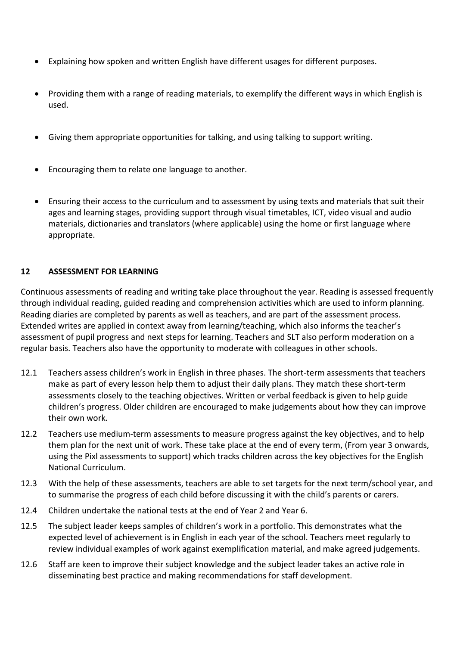- Explaining how spoken and written English have different usages for different purposes.
- Providing them with a range of reading materials, to exemplify the different ways in which English is used.
- Giving them appropriate opportunities for talking, and using talking to support writing.
- Encouraging them to relate one language to another.
- Ensuring their access to the curriculum and to assessment by using texts and materials that suit their ages and learning stages, providing support through visual timetables, ICT, video visual and audio materials, dictionaries and translators (where applicable) using the home or first language where appropriate.

#### **12 ASSESSMENT FOR LEARNING**

Continuous assessments of reading and writing take place throughout the year. Reading is assessed frequently through individual reading, guided reading and comprehension activities which are used to inform planning. Reading diaries are completed by parents as well as teachers, and are part of the assessment process. Extended writes are applied in context away from learning/teaching, which also informs the teacher's assessment of pupil progress and next steps for learning. Teachers and SLT also perform moderation on a regular basis. Teachers also have the opportunity to moderate with colleagues in other schools.

- 12.1 Teachers assess children's work in English in three phases. The short-term assessments that teachers make as part of every lesson help them to adjust their daily plans. They match these short-term assessments closely to the teaching objectives. Written or verbal feedback is given to help guide children's progress. Older children are encouraged to make judgements about how they can improve their own work.
- 12.2 Teachers use medium-term assessments to measure progress against the key objectives, and to help them plan for the next unit of work. These take place at the end of every term, (From year 3 onwards, using the Pixl assessments to support) which tracks children across the key objectives for the English National Curriculum.
- 12.3 With the help of these assessments, teachers are able to set targets for the next term/school year, and to summarise the progress of each child before discussing it with the child's parents or carers.
- 12.4 Children undertake the national tests at the end of Year 2 and Year 6.
- 12.5 The subject leader keeps samples of children's work in a portfolio. This demonstrates what the expected level of achievement is in English in each year of the school. Teachers meet regularly to review individual examples of work against exemplification material, and make agreed judgements.
- 12.6 Staff are keen to improve their subject knowledge and the subject leader takes an active role in disseminating best practice and making recommendations for staff development.